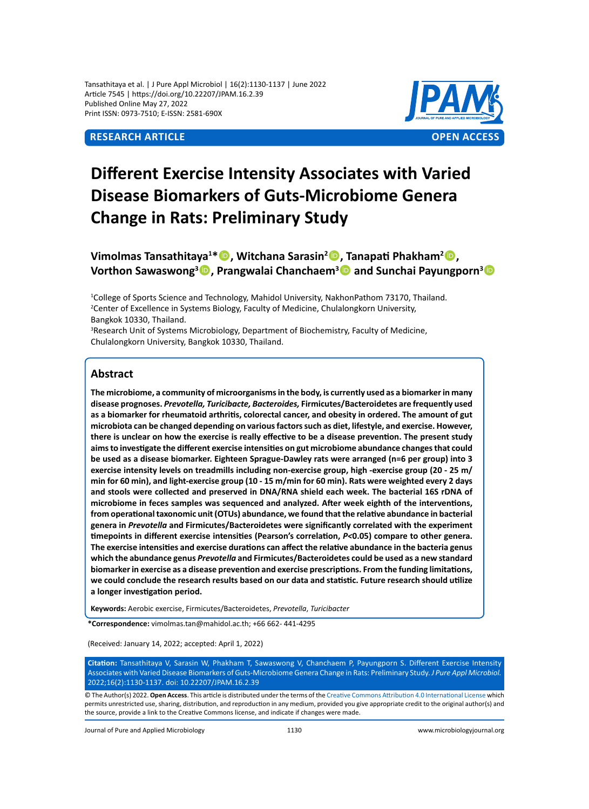Tansathitaya et al. | J Pure Appl Microbiol | 16(2):1130-1137 | June 2022 Article 7545 | https://doi.org/10.22207/JPAM.16.2.39 Published Online May 27, 2022 Print ISSN: 0973-7510; E-ISSN: 2581-690X



# **Different Exercise Intensity Associates with Varied Disease Biomarkers of Guts-Microbiome Genera Change in Rats: Preliminary Study**

## **Vimolmas Tansathitaya<sup>1</sup> \*, Witchana Sarasin<sup>2</sup> , Tanapati Phakham<sup>2</sup> , Vorthon Sawaswong<sup>3</sup> , Prangwalai Chanchaem<sup>3</sup> and Sunchai Payungporn<sup>3</sup>**

1 College of Sports Science and Technology, Mahidol University, NakhonPathom 73170, Thailand. <sup>2</sup> Center of Excellence in Systems Biology, Faculty of Medicine, Chulalongkorn University, Bangkok 10330, Thailand.

<sup>3</sup>Research Unit of Systems Microbiology, Department of Biochemistry, Faculty of Medicine, Chulalongkorn University, Bangkok 10330, Thailand.

### **Abstract**

**The microbiome, a community of microorganisms in the body, is currently used as a biomarker in many disease prognoses.** *Prevotella, Turicibacte, Bacteroides,* **Firmicutes/Bacteroidetes are frequently used as a biomarker for rheumatoid arthritis, colorectal cancer, and obesity in ordered. The amount of gut microbiota can be changed depending on various factors such as diet, lifestyle, and exercise. However, there is unclear on how the exercise is really effective to be a disease prevention. The present study aims to investigate the different exercise intensities on gut microbiome abundance changes that could be used as a disease biomarker. Eighteen Sprague-Dawley rats were arranged (n=6 per group) into 3 exercise intensity levels on treadmills including non-exercise group, high -exercise group (20 - 25 m/ min for 60 min), and light-exercise group (10 - 15 m/min for 60 min). Rats were weighted every 2 days and stools were collected and preserved in DNA/RNA shield each week. The bacterial 16S rDNA of microbiome in feces samples was sequenced and analyzed. After week eighth of the interventions, from operational taxonomic unit (OTUs) abundance, we found that the relative abundance in bacterial genera in** *Prevotella* **and Firmicutes/Bacteroidetes were significantly correlated with the experiment timepoints in different exercise intensities (Pearson's correlation,** *P<***0.05) compare to other genera. The exercise intensities and exercise durations can affect the relative abundance in the bacteria genus which the abundance genus** *Prevotella* **and Firmicutes/Bacteroidetes could be used as a new standard biomarker in exercise as a disease prevention and exercise prescriptions. From the funding limitations, we could conclude the research results based on our data and statistic. Future research should utilize a longer investigation period.**

**Keywords:** Aerobic exercise, Firmicutes/Bacteroidetes, *Prevotella*, *Turicibacter*

**\*Correspondence:** vimolmas.tan@mahidol.ac.th; +66 662- 441-4295

(Received: January 14, 2022; accepted: April 1, 2022)

**Citation:** Tansathitaya V, Sarasin W, Phakham T, Sawaswong V, Chanchaem P, Payungporn S. Different Exercise Intensity Associates with Varied Disease Biomarkers of Guts-Microbiome Genera Change in Rats: Preliminary Study. *J Pure Appl Microbiol.* 2022;16(2):1130-1137. doi: 10.22207/JPAM.16.2.39

© The Author(s) 2022. **Open Access**. This article is distributed under the terms of the [Creative Commons Attribution 4.0 International License](https://creativecommons.org/licenses/by/4.0/) which permits unrestricted use, sharing, distribution, and reproduction in any medium, provided you give appropriate credit to the original author(s) and the source, provide a link to the Creative Commons license, and indicate if changes were made.

Journal of Pure and Applied Microbiology 1130 www.microbiologyjournal.org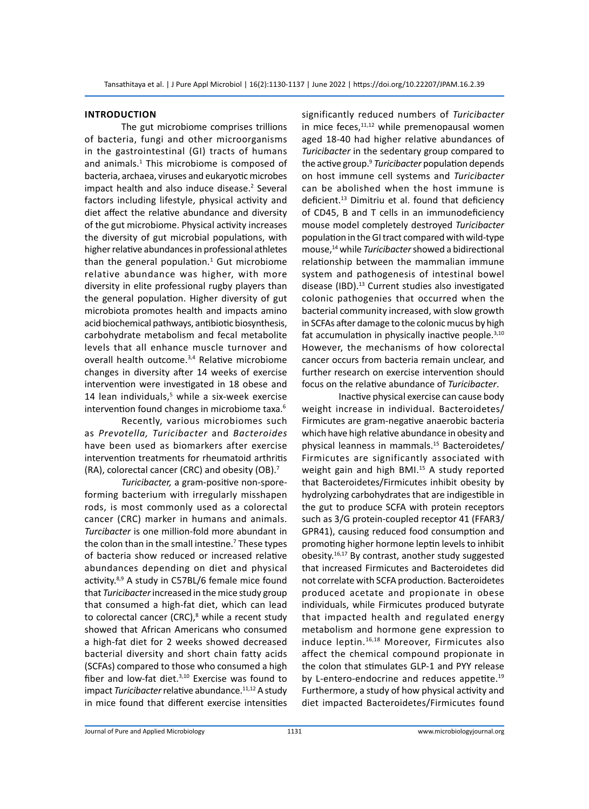#### **Introduction**

The gut microbiome comprises trillions of bacteria, fungi and other microorganisms in the gastrointestinal (GI) tracts of humans and animals.<sup>1</sup> This microbiome is composed of bacteria, archaea, viruses and eukaryotic microbes impact health and also induce disease.<sup>2</sup> Several factors including lifestyle, physical activity and diet affect the relative abundance and diversity of the gut microbiome. Physical activity increases the diversity of gut microbial populations, with higher relative abundances in professional athletes than the general population. $1$  Gut microbiome relative abundance was higher, with more diversity in elite professional rugby players than the general population. Higher diversity of gut microbiota promotes health and impacts amino acid biochemical pathways, antibiotic biosynthesis, carbohydrate metabolism and fecal metabolite levels that all enhance muscle turnover and overall health outcome.3,4 Relative microbiome changes in diversity after 14 weeks of exercise intervention were investigated in 18 obese and 14 lean individuals,<sup>5</sup> while a six-week exercise intervention found changes in microbiome taxa.<sup>6</sup>

Recently, various microbiomes such as *Prevotella, Turicibacter* and *Bacteroides*  have been used as biomarkers after exercise intervention treatments for rheumatoid arthritis (RA), colorectal cancer (CRC) and obesity (OB).7

*Turicibacter,* a gram-positive non-sporeforming bacterium with irregularly misshapen rods, is most commonly used as a colorectal cancer (CRC) marker in humans and animals. *Turcibacter* is one million-fold more abundant in the colon than in the small intestine.<sup>7</sup> These types of bacteria show reduced or increased relative abundances depending on diet and physical activity.<sup>8,9</sup> A study in C57BL/6 female mice found that *Turicibacter* increased in the mice study group that consumed a high-fat diet, which can lead to colorectal cancer (CRC),<sup>8</sup> while a recent study showed that African Americans who consumed a high-fat diet for 2 weeks showed decreased bacterial diversity and short chain fatty acids (SCFAs) compared to those who consumed a high fiber and low-fat diet. $3,10$  Exercise was found to impact *Turicibacter* relative abundance.<sup>11,12</sup> A study in mice found that different exercise intensities

significantly reduced numbers of *Turicibacter* in mice feces, $11,12$  while premenopausal women aged 18-40 had higher relative abundances of *Turicibacter* in the sedentary group compared to the active group.<sup>9</sup> *Turicibacter* population depends on host immune cell systems and *Turicibacter* can be abolished when the host immune is deficient.<sup>13</sup> Dimitriu et al. found that deficiency of CD45, B and T cells in an immunodeficiency mouse model completely destroyed *Turicibacter* population in the GI tract compared with wild-type mouse,14 while *Turicibacter* showed a bidirectional relationship between the mammalian immune system and pathogenesis of intestinal bowel disease (IBD).<sup>13</sup> Current studies also investigated colonic pathogenies that occurred when the bacterial community increased, with slow growth in SCFAs after damage to the colonic mucus by high fat accumulation in physically inactive people.<sup>3,10</sup> However, the mechanisms of how colorectal cancer occurs from bacteria remain unclear, and further research on exercise intervention should focus on the relative abundance of *Turicibacter*.

Inactive physical exercise can cause body weight increase in individual. Bacteroidetes/ Firmicutes are gram-negative anaerobic bacteria which have high relative abundance in obesity and physical leanness in mammals.15 Bacteroidetes/ Firmicutes are significantly associated with weight gain and high BMI.<sup>15</sup> A study reported that Bacteroidetes/Firmicutes inhibit obesity by hydrolyzing carbohydrates that are indigestible in the gut to produce SCFA with protein receptors such as 3/G protein-coupled receptor 41 (FFAR3/ GPR41), causing reduced food consumption and promoting higher hormone leptin levels to inhibit obesity.16,17 By contrast, another study suggested that increased Firmicutes and Bacteroidetes did not correlate with SCFA production. Bacteroidetes produced acetate and propionate in obese individuals, while Firmicutes produced butyrate that impacted health and regulated energy metabolism and hormone gene expression to induce leptin.16,18 Moreover, Firmicutes also affect the chemical compound propionate in the colon that stimulates GLP-1 and PYY release by L-entero-endocrine and reduces appetite.<sup>19</sup> Furthermore, a study of how physical activity and diet impacted Bacteroidetes/Firmicutes found

Journal of Pure and Applied Microbiology 1131 www.microbiologyjournal.org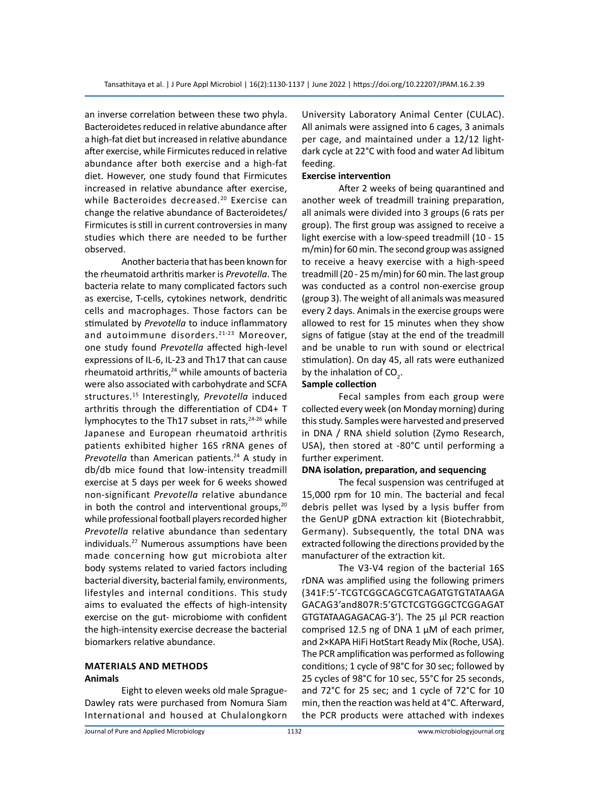an inverse correlation between these two phyla. Bacteroidetes reduced in relative abundance after a high-fat diet but increased in relative abundance after exercise, while Firmicutes reduced in relative abundance after both exercise and a high-fat diet. However, one study found that Firmicutes increased in relative abundance after exercise, while Bacteroides decreased.<sup>20</sup> Exercise can change the relative abundance of Bacteroidetes/ Firmicutes is still in current controversies in many studies which there are needed to be further observed.

Another bacteria that has been known for the rheumatoid arthritis marker is *Prevotella*. The bacteria relate to many complicated factors such as exercise, T-cells, cytokines network, dendritic cells and macrophages. Those factors can be stimulated by *Prevotella* to induce inflammatory and autoimmune disorders.<sup>21-23</sup> Moreover, one study found *Prevotella* affected high-level expressions of IL-6, IL-23 and Th17 that can cause rheumatoid arthritis, $24$  while amounts of bacteria were also associated with carbohydrate and SCFA structures.15 Interestingly, *Prevotella* induced arthritis through the differentiation of CD4+ T lymphocytes to the Th17 subset in rats, $24-26$  while Japanese and European rheumatoid arthritis patients exhibited higher 16S rRNA genes of *Prevotella* than American patients.<sup>24</sup> A study in db/db mice found that low-intensity treadmill exercise at 5 days per week for 6 weeks showed non-significant *Prevotella* relative abundance in both the control and interventional groups, $20$ while professional football players recorded higher *Prevotella* relative abundance than sedentary individuals.27 Numerous assumptions have been made concerning how gut microbiota alter body systems related to varied factors including bacterial diversity, bacterial family, environments, lifestyles and internal conditions. This study aims to evaluated the effects of high-intensity exercise on the gut- microbiome with confident the high-intensity exercise decrease the bacterial biomarkers relative abundance.

#### **Materials and Methods Animals**

Eight to eleven weeks old male Sprague-Dawley rats were purchased from Nomura Siam International and housed at Chulalongkorn University Laboratory Animal Center (CULAC). All animals were assigned into 6 cages, 3 animals per cage, and maintained under a 12/12 lightdark cycle at 22°C with food and water Ad libitum feeding.

#### **Exercise intervention**

After 2 weeks of being quarantined and another week of treadmill training preparation, all animals were divided into 3 groups (6 rats per group). The first group was assigned to receive a light exercise with a low-speed treadmill (10 - 15 m/min) for 60 min. The second group was assigned to receive a heavy exercise with a high-speed treadmill (20 - 25 m/min) for 60 min. The last group was conducted as a control non-exercise group (group 3). The weight of all animals was measured every 2 days. Animals in the exercise groups were allowed to rest for 15 minutes when they show signs of fatigue (stay at the end of the treadmill and be unable to run with sound or electrical stimulation). On day 45, all rats were euthanized by the inhalation of CO<sub>2</sub>.

#### **Sample collection**

Fecal samples from each group were collected every week (on Monday morning) during this study. Samples were harvested and preserved in DNA / RNA shield solution (Zymo Research, USA), then stored at -80°C until performing a further experiment.

#### **DNA isolation, preparation, and sequencing**

The fecal suspension was centrifuged at 15,000 rpm for 10 min. The bacterial and fecal debris pellet was lysed by a lysis buffer from the GenUP gDNA extraction kit (Biotechrabbit, Germany). Subsequently, the total DNA was extracted following the directions provided by the manufacturer of the extraction kit.

The V3-V4 region of the bacterial 16S rDNA was amplified using the following primers (341F:5'-TCGTCGGCAGCGTCAGATGTGTATAAGA GACAG3'and807R:5'GTCTCGTGGGCTCGGAGAT GTGTATAAGAGACAG-3'). The 25 µl PCR reaction comprised 12.5 ng of DNA 1 µM of each primer, and 2×KAPA HiFi HotStart Ready Mix (Roche, USA). The PCR amplification was performed as following conditions; 1 cycle of 98°C for 30 sec; followed by 25 cycles of 98°C for 10 sec, 55°C for 25 seconds, and 72°C for 25 sec; and 1 cycle of 72°C for 10 min, then the reaction was held at 4°C. Afterward, the PCR products were attached with indexes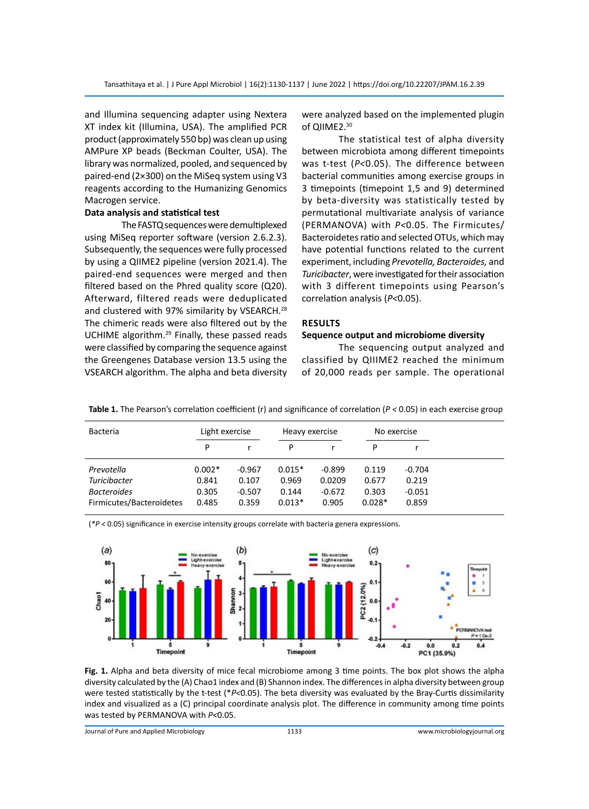and Illumina sequencing adapter using Nextera XT index kit (Illumina, USA). The amplified PCR product (approximately 550 bp) was clean up using AMPure XP beads (Beckman Coulter, USA). The library was normalized, pooled, and sequenced by paired-end (2×300) on the MiSeq system using V3 reagents according to the Humanizing Genomics Macrogen service.

#### **Data analysis and statistical test**

The FASTQ sequences were demultiplexed using MiSeq reporter software (version 2.6.2.3). Subsequently, the sequences were fully processed by using a QIIME2 pipeline (version 2021.4). The paired-end sequences were merged and then filtered based on the Phred quality score (Q20). Afterward, filtered reads were deduplicated and clustered with 97% similarity by VSEARCH.<sup>28</sup> The chimeric reads were also filtered out by the UCHIME algorithm.<sup>29</sup> Finally, these passed reads were classified by comparing the sequence against the Greengenes Database version 13.5 using the VSEARCH algorithm. The alpha and beta diversity were analyzed based on the implemented plugin of QIIME2.<sup>30</sup>

The statistical test of alpha diversity between microbiota among different timepoints was t-test (*P<*0.05). The difference between bacterial communities among exercise groups in 3 timepoints (timepoint 1,5 and 9) determined by beta-diversity was statistically tested by permutational multivariate analysis of variance (PERMANOVA) with *P<*0.05. The Firmicutes/ Bacteroidetes ratio and selected OTUs, which may have potential functions related to the current experiment, including *Prevotella, Bacteroides,* and *Turicibacter*, were investigated for their association with 3 different timepoints using Pearson's correlation analysis (*P<*0.05).

#### **Results**

#### **Sequence output and microbiome diversity**

The sequencing output analyzed and classified by QIIIME2 reached the minimum of 20,000 reads per sample. The operational

| <b>Bacteria</b>          | Light exercise |          | Heavy exercise |          | No exercise |          |
|--------------------------|----------------|----------|----------------|----------|-------------|----------|
|                          | P              |          | P              |          | P           |          |
| Prevotella               | $0.002*$       | $-0.967$ | $0.015*$       | $-0.899$ | 0.119       | $-0.704$ |
| Turicibacter             | 0.841          | 0.107    | 0.969          | 0.0209   | 0.677       | 0.219    |
| <b>Bacteroides</b>       | 0.305          | $-0.507$ | 0.144          | $-0.672$ | 0.303       | $-0.051$ |
| Firmicutes/Bacteroidetes | 0.485          | 0.359    | $0.013*$       | 0.905    | $0.028*$    | 0.859    |

**Table 1.** The Pearson's correlation coefficient (r) and significance of correlation (*P <* 0.05) in each exercise group

(*\*P <* 0.05) significance in exercise intensity groups correlate with bacteria genera expressions.



**Fig. 1.** Alpha and beta diversity of mice fecal microbiome among 3 time points. The box plot shows the alpha diversity calculated by the (A) Chao1 index and (B) Shannon index. The differences in alpha diversity between group were tested statistically by the t-test (\**P<*0.05). The beta diversity was evaluated by the Bray-Curtis dissimilarity index and visualized as a (C) principal coordinate analysis plot. The difference in community among time points was tested by PERMANOVA with *P<*0.05.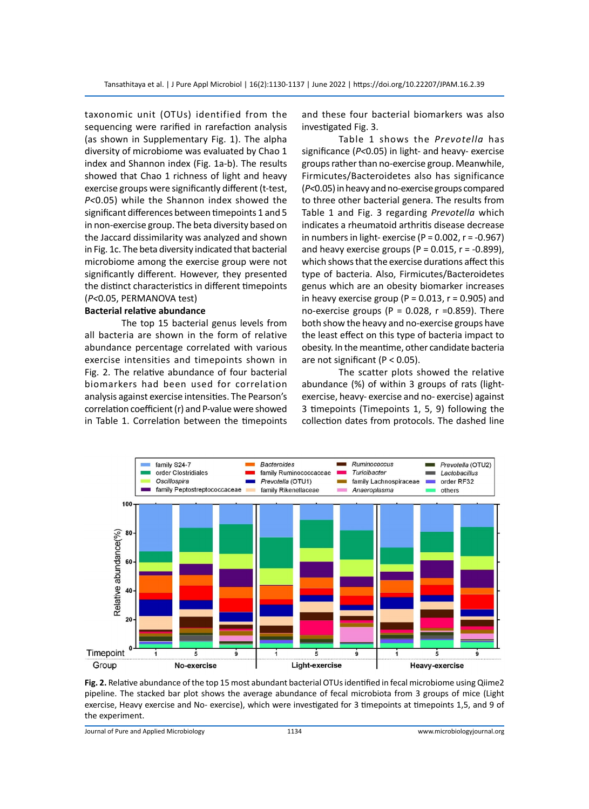taxonomic unit (OTUs) identified from the sequencing were rarified in rarefaction analysis (as shown in Supplementary Fig. 1). The alpha diversity of microbiome was evaluated by Chao 1 index and Shannon index (Fig. 1a-b). The results showed that Chao 1 richness of light and heavy exercise groups were significantly different (t-test, *P<*0.05) while the Shannon index showed the significant differences between timepoints 1 and 5 in non-exercise group. The beta diversity based on the Jaccard dissimilarity was analyzed and shown in Fig. 1c. The beta diversity indicated that bacterial microbiome among the exercise group were not significantly different. However, they presented the distinct characteristics in different timepoints (*P<*0.05, PERMANOVA test)

#### **Bacterial relative abundance**

The top 15 bacterial genus levels from all bacteria are shown in the form of relative abundance percentage correlated with various exercise intensities and timepoints shown in Fig. 2. The relative abundance of four bacterial biomarkers had been used for correlation analysis against exercise intensities. The Pearson's correlation coefficient (r) and P-value were showed in Table 1. Correlation between the timepoints and these four bacterial biomarkers was also investigated Fig. 3.

Table 1 shows the *Prevotella* has significance (*P<*0.05) in light- and heavy- exercise groups rather than no-exercise group. Meanwhile, Firmicutes/Bacteroidetes also has significance (*P<*0.05) in heavy and no-exercise groups compared to three other bacterial genera. The results from Table 1 and Fig. 3 regarding *Prevotella* which indicates a rheumatoid arthritis disease decrease in numbers in light- exercise ( $P = 0.002$ ,  $r = -0.967$ ) and heavy exercise groups ( $P = 0.015$ ,  $r = -0.899$ ), which shows that the exercise durations affect this type of bacteria. Also, Firmicutes/Bacteroidetes genus which are an obesity biomarker increases in heavy exercise group (P =  $0.013$ , r =  $0.905$ ) and no-exercise groups (P =  $0.028$ , r =  $0.859$ ). There both show the heavy and no-exercise groups have the least effect on this type of bacteria impact to obesity. In the meantime, other candidate bacteria are not significant (P < 0.05).

The scatter plots showed the relative abundance (%) of within 3 groups of rats (lightexercise, heavy- exercise and no- exercise) against 3 timepoints (Timepoints 1, 5, 9) following the collection dates from protocols. The dashed line



**Fig. 2.** Relative abundance of the top 15 most abundant bacterial OTUs identified in fecal microbiome using Qiime2 pipeline. The stacked bar plot shows the average abundance of fecal microbiota from 3 groups of mice (Light exercise, Heavy exercise and No- exercise), which were investigated for 3 timepoints at timepoints 1,5, and 9 of the experiment.

Journal of Pure and Applied Microbiology 1134 www.microbiologyjournal.org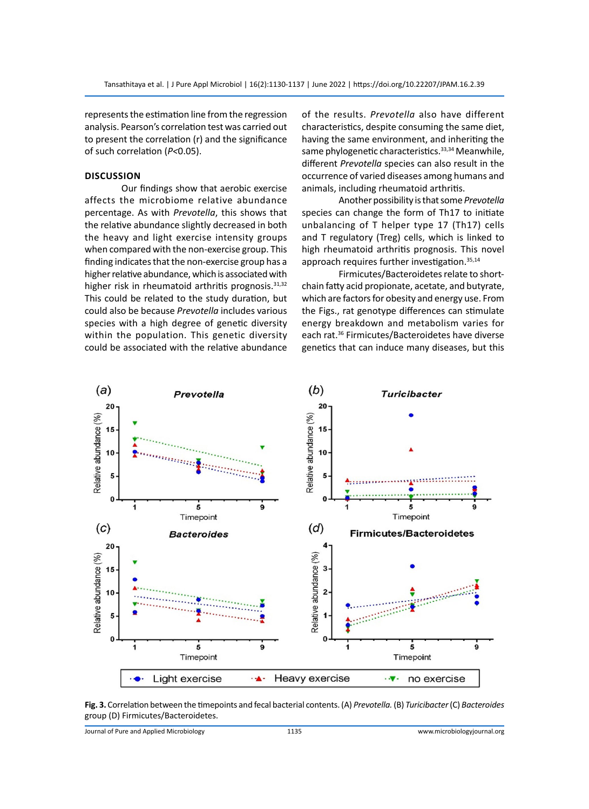represents the estimation line from the regression analysis. Pearson's correlation test was carried out to present the correlation (r) and the significance of such correlation (*P<*0.05).

#### **Discussion**

Our findings show that aerobic exercise affects the microbiome relative abundance percentage. As with *Prevotella*, this shows that the relative abundance slightly decreased in both the heavy and light exercise intensity groups when compared with the non-exercise group. This finding indicates that the non-exercise group has a higher relative abundance, which is associated with higher risk in rheumatoid arthritis prognosis.<sup>31,32</sup> This could be related to the study duration, but could also be because *Prevotella* includes various species with a high degree of genetic diversity within the population. This genetic diversity could be associated with the relative abundance of the results. *Prevotella* also have different characteristics, despite consuming the same diet, having the same environment, and inheriting the same phylogenetic characteristics.<sup>33,34</sup> Meanwhile, different *Prevotella* species can also result in the occurrence of varied diseases among humans and animals, including rheumatoid arthritis.

Another possibility is that some *Prevotella* species can change the form of Th17 to initiate unbalancing of T helper type 17 (Th17) cells and T regulatory (Treg) cells, which is linked to high rheumatoid arthritis prognosis. This novel approach requires further investigation.35,14

Firmicutes/Bacteroidetes relate to shortchain fatty acid propionate, acetate, and butyrate, which are factors for obesity and energy use. From the Figs., rat genotype differences can stimulate energy breakdown and metabolism varies for each rat.36 Firmicutes/Bacteroidetes have diverse genetics that can induce many diseases, but this



**Fig. 3.** Correlation between the timepoints and fecal bacterial contents. (A) *Prevotella.* (B) *Turicibacter* (C) *Bacteroides*  group (D) Firmicutes/Bacteroidetes.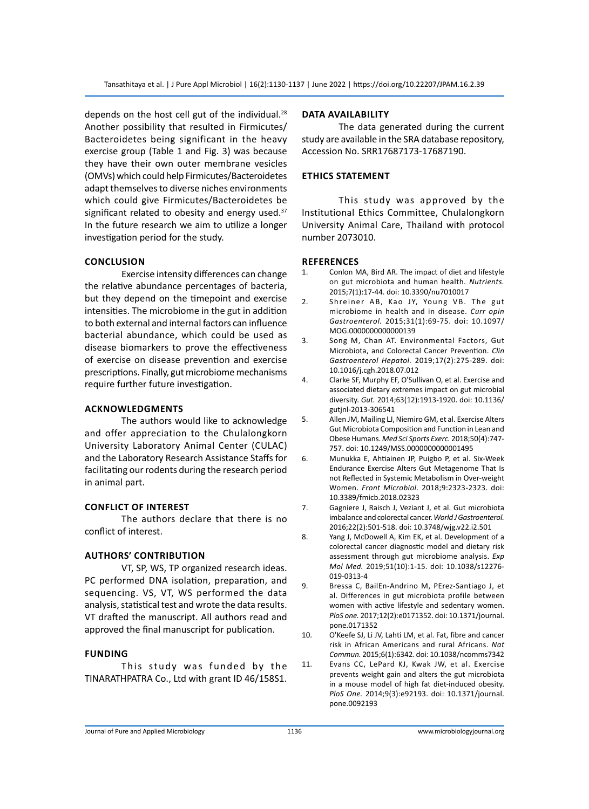depends on the host cell gut of the individual. $^{28}$ Another possibility that resulted in Firmicutes/ Bacteroidetes being significant in the heavy exercise group (Table 1 and Fig. 3) was because they have their own outer membrane vesicles (OMVs) which could help Firmicutes/Bacteroidetes adapt themselves to diverse niches environments which could give Firmicutes/Bacteroidetes be significant related to obesity and energy used. $37$ In the future research we aim to utilize a longer investigation period for the study.

#### **Conclusion**

Exercise intensity differences can change the relative abundance percentages of bacteria, but they depend on the timepoint and exercise intensities. The microbiome in the gut in addition to both external and internal factors can influence bacterial abundance, which could be used as disease biomarkers to prove the effectiveness of exercise on disease prevention and exercise prescriptions. Finally, gut microbiome mechanisms require further future investigation.

#### **Acknowledgments**

The authors would like to acknowledge and offer appreciation to the Chulalongkorn University Laboratory Animal Center (CULAC) and the Laboratory Research Assistance Staffs for facilitating our rodents during the research period in animal part.

#### **Conflict of Interest**

The authors declare that there is no conflict of interest.

#### **Authors' Contribution**

VT, SP, WS, TP organized research ideas. PC performed DNA isolation, preparation, and sequencing. VS, VT, WS performed the data analysis, statistical test and wrote the data results. VT drafted the manuscript. All authors read and approved the final manuscript for publication.

#### **Funding**

This study was funded by the TINARATHPATRA Co., Ltd with grant ID 46/158S1.

#### **Data availability**

The data generated during the current study are available in the SRA database repository, Accession No. SRR17687173-17687190.

#### **Ethics statement**

This study was approved by the Institutional Ethics Committee, Chulalongkorn University Animal Care, Thailand with protocol number 2073010.

#### **References**

- 1. Conlon MA, Bird AR. The impact of diet and lifestyle on gut microbiota and human health. *Nutrients.*  2015;7(1):17-44. doi: 10.3390/nu7010017
- 2. Shreiner AB, Kao JY, Young VB. The gut microbiome in health and in disease. *Curr opin Gastroenterol.* 2015;31(1):69-75. doi: 10.1097/ MOG.0000000000000139
- 3. Song M, Chan AT. Environmental Factors, Gut Microbiota, and Colorectal Cancer Prevention. *Clin Gastroenterol Hepatol.* 2019;17(2):275-289. doi: 10.1016/j.cgh.2018.07.012
- 4. Clarke SF, Murphy EF, O'Sullivan O, et al. Exercise and associated dietary extremes impact on gut microbial diversity. *Gut.* 2014;63(12):1913-1920. doi: 10.1136/ gutjnl-2013-306541
- 5. Allen JM, Mailing LJ, Niemiro GM, et al. Exercise Alters Gut Microbiota Composition and Function in Lean and Obese Humans. *Med Sci Sports Exerc.* 2018;50(4):747- 757. doi: 10.1249/MSS.0000000000001495
- 6. Munukka E, Ahtiainen JP, Puigbo P, et al. Six-Week Endurance Exercise Alters Gut Metagenome That Is not Reflected in Systemic Metabolism in Over-weight Women. *Front Microbiol.* 2018;9:2323-2323. doi: 10.3389/fmicb.2018.02323
- 7. Gagniere J, Raisch J, Veziant J, et al. Gut microbiota imbalance and colorectal cancer. *World J Gastroenterol.* 2016;22(2):501-518. doi: 10.3748/wjg.v22.i2.501
- 8. Yang J, McDowell A, Kim EK, et al. Development of a colorectal cancer diagnostic model and dietary risk assessment through gut microbiome analysis. *Exp Mol Med.* 2019;51(10):1-15. doi: 10.1038/s12276- 019-0313-4
- 9. Bressa C, BailEn-Andrino M, PErez-Santiago J, et al. Differences in gut microbiota profile between women with active lifestyle and sedentary women. *PloS one.* 2017;12(2):e0171352. doi: 10.1371/journal. pone.0171352
- 10. O'Keefe SJ, Li JV, Lahti LM, et al. Fat, fibre and cancer risk in African Americans and rural Africans. *Nat Commun.* 2015;6(1):6342. doi: 10.1038/ncomms7342
- 11. Evans CC, LePard KJ, Kwak JW, et al. Exercise prevents weight gain and alters the gut microbiota in a mouse model of high fat diet-induced obesity. *PloS One.* 2014;9(3):e92193. doi: 10.1371/journal. pone.0092193